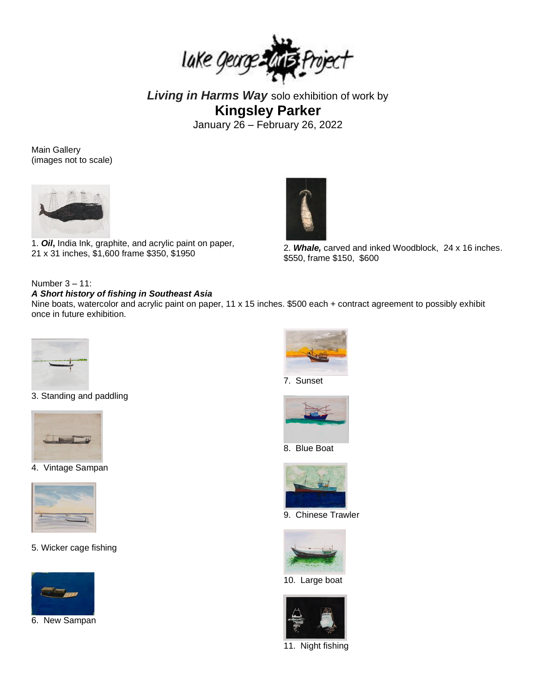

*Living in Harms Way* solo exhibition of work by **Kingsley Parker** January 26 – February 26, 2022

Main Gallery (images not to scale)



1. *Oil***,** India Ink, graphite, and acrylic paint on paper,



1. **On**, mala mk, graphile, and acrylic paint on paper, 2. **Whale,** carved and inked Woodblock, 24 x 16 inches.<br>21 x 31 inches, \$1,600 frame \$350, \$1950 \$550, frame \$150, \$600

## Number 3 – 11:

## *A Short history of fishing in Southeast Asia*

Nine boats, watercolor and acrylic paint on paper, 11 x 15 inches. \$500 each + contract agreement to possibly exhibit once in future exhibition.



3. Standing and paddling



4. Vintage Sampan



5. Wicker cage fishing



6. New Sampan







8. Blue Boat



9. Chinese Trawler



10. Large boat



11.Night fishing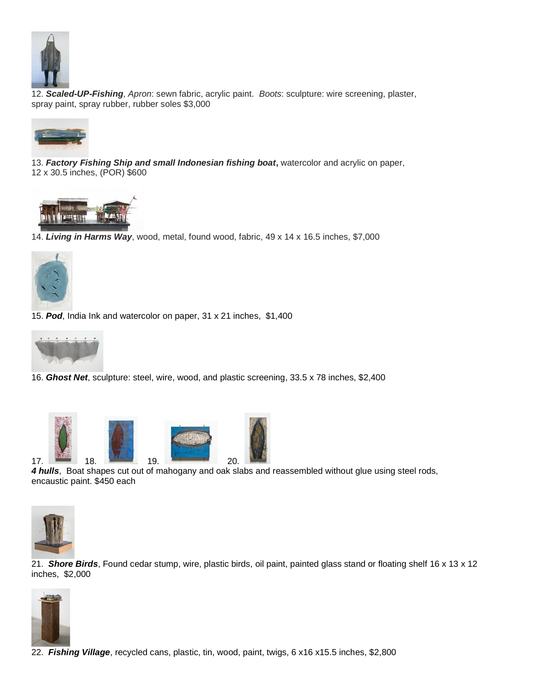

 12. *Scaled-UP-Fishing*, *Apron*: sewn fabric, acrylic paint. *Boots*: sculpture: wire screening, plaster, spray paint, spray rubber, rubber soles \$3,000



13. *Factory Fishing Ship and small Indonesian fishing boat***,** watercolor and acrylic on paper, 12 x 30.5 inches, (POR) \$600



14. *Living in Harms Way*, wood, metal, found wood, fabric, 49 x 14 x 16.5 inches, \$7,000



15. *Pod*, India Ink and watercolor on paper, 31 x 21 inches, \$1,400



16. *Ghost Net*, sculpture: steel, wire, wood, and plastic screening, 33.5 x 78 inches, \$2,400



*4 hulls*, Boat shapes cut out of mahogany and oak slabs and reassembled without glue using steel rods, encaustic paint. \$450 each



21. *Shore Birds*, Found cedar stump, wire, plastic birds, oil paint, painted glass stand or floating shelf 16 x 13 x 12 inches, \$2,000



22. *Fishing Village*, recycled cans, plastic, tin, wood, paint, twigs, 6 x16 x15.5 inches, \$2,800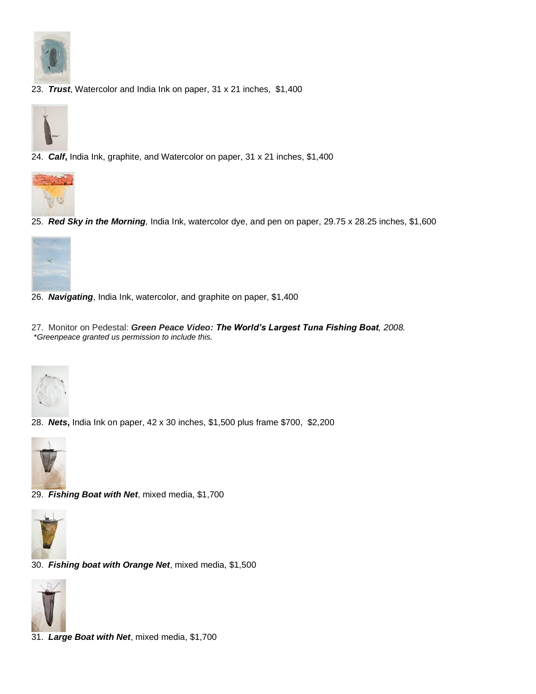

23. *Trust*, Watercolor and India Ink on paper, 31 x 21 inches, \$1,400



24. *Calf***,** India Ink, graphite, and Watercolor on paper, 31 x 21 inches, \$1,400



25.*Red Sky in the Morning,* India Ink, watercolor dye, and pen on paper, 29.75 x 28.25 inches, \$1,600



- 26. *Navigating*, India Ink, watercolor, and graphite on paper, \$1,400
- 27. Monitor on Pedestal: *Green Peace Video: The World's Largest Tuna Fishing Boat, 2008.*  \**Greenpeace granted us permission to include this.*



28. *Nets***,** India Ink on paper, 42 x 30 inches, \$1,500 plus frame \$700, \$2,200



29. *Fishing Boat with Net*, mixed media, \$1,700



30. *Fishing boat with Orange Net*, mixed media, \$1,500



31. *Large Boat with Net*, mixed media, \$1,700